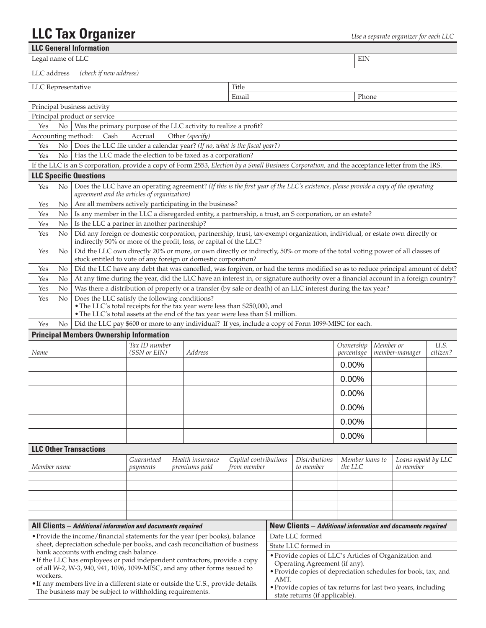## **LLC Tax Organizer** *Use a separate organizer for each LLC***</del>**

| <b>LLC General Information</b>                                                                                                                             |                                                                                                                                                                                                                                                      |                               |  |                                   |                                        |                                                                                                         |                                                             |                            |           |                                  |                  |
|------------------------------------------------------------------------------------------------------------------------------------------------------------|------------------------------------------------------------------------------------------------------------------------------------------------------------------------------------------------------------------------------------------------------|-------------------------------|--|-----------------------------------|----------------------------------------|---------------------------------------------------------------------------------------------------------|-------------------------------------------------------------|----------------------------|-----------|----------------------------------|------------------|
| Legal name of LLC                                                                                                                                          |                                                                                                                                                                                                                                                      |                               |  |                                   |                                        |                                                                                                         |                                                             | EIN                        |           |                                  |                  |
| LLC address                                                                                                                                                | (check if new address)                                                                                                                                                                                                                               |                               |  |                                   |                                        |                                                                                                         |                                                             |                            |           |                                  |                  |
| LLC Representative                                                                                                                                         |                                                                                                                                                                                                                                                      |                               |  |                                   | Title                                  |                                                                                                         |                                                             |                            |           |                                  |                  |
|                                                                                                                                                            |                                                                                                                                                                                                                                                      |                               |  |                                   | Email                                  |                                                                                                         |                                                             | Phone                      |           |                                  |                  |
| Principal business activity                                                                                                                                |                                                                                                                                                                                                                                                      |                               |  |                                   |                                        |                                                                                                         |                                                             |                            |           |                                  |                  |
|                                                                                                                                                            | Principal product or service                                                                                                                                                                                                                         |                               |  |                                   |                                        |                                                                                                         |                                                             |                            |           |                                  |                  |
| Yes<br>No.                                                                                                                                                 | Was the primary purpose of the LLC activity to realize a profit?                                                                                                                                                                                     |                               |  |                                   |                                        |                                                                                                         |                                                             |                            |           |                                  |                  |
| Accounting method:                                                                                                                                         | Cash                                                                                                                                                                                                                                                 | Accrual                       |  | Other (specify)                   |                                        |                                                                                                         |                                                             |                            |           |                                  |                  |
| Yes<br>No                                                                                                                                                  | Does the LLC file under a calendar year? (If no, what is the fiscal year?)                                                                                                                                                                           |                               |  |                                   |                                        |                                                                                                         |                                                             |                            |           |                                  |                  |
| Yes<br>No.                                                                                                                                                 | Has the LLC made the election to be taxed as a corporation?                                                                                                                                                                                          |                               |  |                                   |                                        |                                                                                                         |                                                             |                            |           |                                  |                  |
|                                                                                                                                                            | If the LLC is an S corporation, provide a copy of Form 2553, Election by a Small Business Corporation, and the acceptance letter from the IRS.                                                                                                       |                               |  |                                   |                                        |                                                                                                         |                                                             |                            |           |                                  |                  |
| <b>LLC Specific Questions</b>                                                                                                                              |                                                                                                                                                                                                                                                      |                               |  |                                   |                                        |                                                                                                         |                                                             |                            |           |                                  |                  |
| Yes<br>No                                                                                                                                                  | Does the LLC have an operating agreement? (If this is the first year of the LLC's existence, please provide a copy of the operating<br>agreement and the articles of organization)                                                                   |                               |  |                                   |                                        |                                                                                                         |                                                             |                            |           |                                  |                  |
| No<br>Yes                                                                                                                                                  | Are all members actively participating in the business?                                                                                                                                                                                              |                               |  |                                   |                                        |                                                                                                         |                                                             |                            |           |                                  |                  |
| No<br>Yes                                                                                                                                                  | Is any member in the LLC a disregarded entity, a partnership, a trust, an S corporation, or an estate?                                                                                                                                               |                               |  |                                   |                                        |                                                                                                         |                                                             |                            |           |                                  |                  |
| No<br>Yes                                                                                                                                                  | Is the LLC a partner in another partnership?                                                                                                                                                                                                         |                               |  |                                   |                                        |                                                                                                         |                                                             |                            |           |                                  |                  |
| Yes<br>No                                                                                                                                                  | Did any foreign or domestic corporation, partnership, trust, tax-exempt organization, individual, or estate own directly or<br>indirectly 50% or more of the profit, loss, or capital of the LLC?                                                    |                               |  |                                   |                                        |                                                                                                         |                                                             |                            |           |                                  |                  |
| Yes<br>No                                                                                                                                                  | Did the LLC own directly 20% or more, or own directly or indirectly, 50% or more of the total voting power of all classes of<br>stock entitled to vote of any foreign or domestic corporation?                                                       |                               |  |                                   |                                        |                                                                                                         |                                                             |                            |           |                                  |                  |
| Yes<br>No                                                                                                                                                  | Did the LLC have any debt that was cancelled, was forgiven, or had the terms modified so as to reduce principal amount of debt?                                                                                                                      |                               |  |                                   |                                        |                                                                                                         |                                                             |                            |           |                                  |                  |
| Yes<br>No                                                                                                                                                  |                                                                                                                                                                                                                                                      |                               |  |                                   |                                        |                                                                                                         |                                                             |                            |           |                                  |                  |
| Yes<br>No                                                                                                                                                  | At any time during the year, did the LLC have an interest in, or signature authority over a financial account in a foreign country?<br>Was there a distribution of property or a transfer (by sale or death) of an LLC interest during the tax year? |                               |  |                                   |                                        |                                                                                                         |                                                             |                            |           |                                  |                  |
| Yes<br>No                                                                                                                                                  | Does the LLC satisfy the following conditions?<br>• The LLC's total receipts for the tax year were less than \$250,000, and<br>. The LLC's total assets at the end of the tax year were less than \$1 million.                                       |                               |  |                                   |                                        |                                                                                                         |                                                             |                            |           |                                  |                  |
| Yes<br>No                                                                                                                                                  | Did the LLC pay \$600 or more to any individual? If yes, include a copy of Form 1099-MISC for each.                                                                                                                                                  |                               |  |                                   |                                        |                                                                                                         |                                                             |                            |           |                                  |                  |
|                                                                                                                                                            | <b>Principal Members Ownership Information</b>                                                                                                                                                                                                       |                               |  |                                   |                                        |                                                                                                         |                                                             |                            |           |                                  |                  |
| Name                                                                                                                                                       |                                                                                                                                                                                                                                                      | Tax ID number<br>(SSN or EIN) |  | Address                           |                                        |                                                                                                         |                                                             | Ownership<br>percentage    | Member or | member-manager                   | U.S.<br>citizen? |
|                                                                                                                                                            |                                                                                                                                                                                                                                                      |                               |  |                                   |                                        |                                                                                                         |                                                             | 0.00%                      |           |                                  |                  |
|                                                                                                                                                            |                                                                                                                                                                                                                                                      |                               |  |                                   |                                        |                                                                                                         |                                                             | 0.00%                      |           |                                  |                  |
|                                                                                                                                                            |                                                                                                                                                                                                                                                      |                               |  |                                   |                                        |                                                                                                         | 0.00%                                                       |                            |           |                                  |                  |
|                                                                                                                                                            |                                                                                                                                                                                                                                                      |                               |  |                                   |                                        |                                                                                                         |                                                             | 0.00%                      |           |                                  |                  |
|                                                                                                                                                            |                                                                                                                                                                                                                                                      |                               |  |                                   |                                        |                                                                                                         |                                                             | 0.00%                      |           |                                  |                  |
|                                                                                                                                                            |                                                                                                                                                                                                                                                      |                               |  |                                   |                                        |                                                                                                         |                                                             | 0.00%                      |           |                                  |                  |
| <b>LLC Other Transactions</b>                                                                                                                              |                                                                                                                                                                                                                                                      |                               |  |                                   |                                        |                                                                                                         |                                                             |                            |           |                                  |                  |
| Member name                                                                                                                                                |                                                                                                                                                                                                                                                      | Guaranteed<br>payments        |  | Health insurance<br>premiums paid | Capital contributions<br>from member   |                                                                                                         | <i>Distributions</i><br>to member                           | Member loans to<br>the LLC |           | Loans repaid by LLC<br>to member |                  |
|                                                                                                                                                            |                                                                                                                                                                                                                                                      |                               |  |                                   |                                        |                                                                                                         |                                                             |                            |           |                                  |                  |
|                                                                                                                                                            |                                                                                                                                                                                                                                                      |                               |  |                                   |                                        |                                                                                                         |                                                             |                            |           |                                  |                  |
|                                                                                                                                                            |                                                                                                                                                                                                                                                      |                               |  |                                   |                                        |                                                                                                         |                                                             |                            |           |                                  |                  |
|                                                                                                                                                            |                                                                                                                                                                                                                                                      |                               |  |                                   |                                        |                                                                                                         |                                                             |                            |           |                                  |                  |
|                                                                                                                                                            | All Clients - Additional information and documents required                                                                                                                                                                                          |                               |  |                                   |                                        |                                                                                                         | New Clients - Additional information and documents required |                            |           |                                  |                  |
| · Provide the income/financial statements for the year (per books), balance<br>sheet, depreciation schedule per books, and cash reconciliation of business |                                                                                                                                                                                                                                                      |                               |  |                                   | Date LLC formed<br>State LLC formed in |                                                                                                         |                                                             |                            |           |                                  |                  |
|                                                                                                                                                            | bank accounts with ending cash balance.<br>• If the LLC has employees or paid independent contractors, provide a copy                                                                                                                                |                               |  |                                   |                                        | · Provide copies of LLC's Articles of Organization and                                                  |                                                             |                            |           |                                  |                  |
| workers.                                                                                                                                                   | of all W-2, W-3, 940, 941, 1096, 1099-MISC, and any other forms issued to                                                                                                                                                                            |                               |  |                                   |                                        | Operating Agreement (if any).<br>· Provide copies of depreciation schedules for book, tax, and          |                                                             |                            |           |                                  |                  |
|                                                                                                                                                            | • If any members live in a different state or outside the U.S., provide details.<br>The business may be subject to withholding requirements.                                                                                                         |                               |  |                                   |                                        | AMT.<br>· Provide copies of tax returns for last two years, including<br>state returns (if applicable). |                                                             |                            |           |                                  |                  |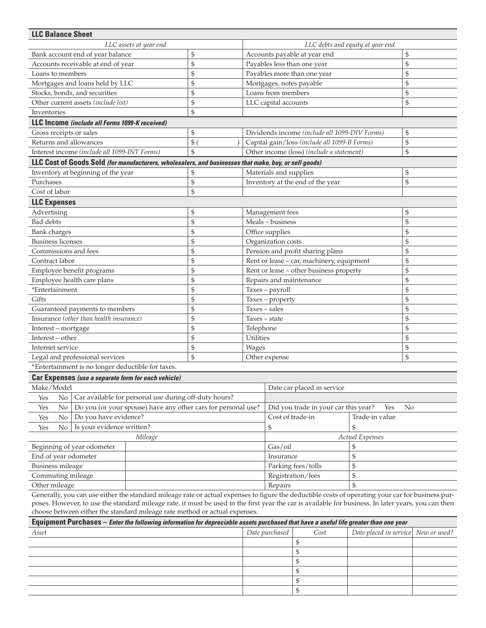| <b>LLC Balance Sheet</b>                                                   |                                                                                                       |            |                                              |                                                            |                                                                                                                                                     |                 |    |  |
|----------------------------------------------------------------------------|-------------------------------------------------------------------------------------------------------|------------|----------------------------------------------|------------------------------------------------------------|-----------------------------------------------------------------------------------------------------------------------------------------------------|-----------------|----|--|
| LLC assets at year end                                                     |                                                                                                       |            |                                              | LLC debts and equity at year end                           |                                                                                                                                                     |                 |    |  |
| Bank account end of year balance                                           |                                                                                                       |            | \$                                           | Accounts payable at year end                               |                                                                                                                                                     |                 | \$ |  |
| Accounts receivable at end of year                                         |                                                                                                       |            | \$                                           |                                                            | Payables less than one year                                                                                                                         |                 | \$ |  |
| Loans to members                                                           |                                                                                                       |            | \$                                           |                                                            | Payables more than one year                                                                                                                         |                 | \$ |  |
|                                                                            | Mortgages and loans held by LLC                                                                       |            | \$                                           |                                                            | Mortgages, notes payable                                                                                                                            | \$              |    |  |
|                                                                            | Stocks, bonds, and securities                                                                         |            | \$                                           |                                                            | Loans from members                                                                                                                                  |                 | \$ |  |
|                                                                            | Other current assets (include list)                                                                   |            | \$                                           |                                                            | LLC capital accounts                                                                                                                                |                 | \$ |  |
| Inventories                                                                |                                                                                                       | \$         |                                              |                                                            |                                                                                                                                                     |                 |    |  |
|                                                                            | LLC Income (include all Forms 1099-K received)                                                        |            |                                              |                                                            |                                                                                                                                                     |                 |    |  |
| Gross receipts or sales                                                    |                                                                                                       |            | \$                                           |                                                            | Dividends income (include all 1099-DIV Forms)                                                                                                       |                 | \$ |  |
| Returns and allowances                                                     |                                                                                                       | $$^{(1)}$$ | Capital gain/loss (include all 1099-B Forms) |                                                            |                                                                                                                                                     | \$              |    |  |
| Interest income (include all 1099-INT Forms)                               |                                                                                                       | \$         | Other income (loss) (include a statement)    |                                                            |                                                                                                                                                     | \$              |    |  |
|                                                                            | LLC Cost of Goods Sold (for manufacturers, wholesalers, and businesses that make, buy, or sell goods) |            |                                              |                                                            |                                                                                                                                                     |                 |    |  |
|                                                                            | Inventory at beginning of the year                                                                    |            | \$                                           |                                                            | Materials and supplies                                                                                                                              |                 | \$ |  |
| Purchases                                                                  |                                                                                                       |            | \$                                           |                                                            | Inventory at the end of the year                                                                                                                    |                 | \$ |  |
| Cost of labor                                                              |                                                                                                       |            | \$                                           |                                                            |                                                                                                                                                     |                 |    |  |
| <b>LLC Expenses</b>                                                        |                                                                                                       |            |                                              |                                                            |                                                                                                                                                     |                 |    |  |
| Advertising                                                                |                                                                                                       |            | \$                                           |                                                            | Management fees                                                                                                                                     |                 | \$ |  |
| Bad debts                                                                  |                                                                                                       |            | \$                                           |                                                            | Meals - business                                                                                                                                    | \$              |    |  |
| <b>Bank</b> charges                                                        |                                                                                                       |            | \$                                           | Office supplies                                            |                                                                                                                                                     |                 | \$ |  |
| <b>Business licenses</b>                                                   |                                                                                                       | \$         | Organization costs                           |                                                            | \$                                                                                                                                                  |                 |    |  |
| Commissions and fees                                                       |                                                                                                       | \$         |                                              | Pension and profit sharing plans                           |                                                                                                                                                     | \$              |    |  |
| Contract labor                                                             |                                                                                                       |            | \$                                           |                                                            | Rent or lease - car, machinery, equipment                                                                                                           |                 | \$ |  |
|                                                                            | Employee benefit programs                                                                             |            | \$                                           |                                                            | Rent or lease - other business property                                                                                                             |                 | \$ |  |
|                                                                            | Employee health care plans                                                                            |            | \$                                           |                                                            | Repairs and maintenance                                                                                                                             |                 | \$ |  |
| *Entertainment                                                             |                                                                                                       |            | \$                                           |                                                            | Taxes - payroll                                                                                                                                     |                 | \$ |  |
| Gifts                                                                      |                                                                                                       |            | \$                                           |                                                            | Taxes - property                                                                                                                                    |                 | \$ |  |
|                                                                            | Guaranteed payments to members                                                                        |            | \$                                           |                                                            | Taxes - sales                                                                                                                                       |                 | \$ |  |
|                                                                            | Insurance (other than health insurance)                                                               |            | \$                                           | Taxes - state                                              |                                                                                                                                                     |                 | \$ |  |
| Interest - mortgage                                                        |                                                                                                       | \$         | Telephone                                    |                                                            | \$                                                                                                                                                  |                 |    |  |
| Interest - other                                                           |                                                                                                       | \$         | Utilities                                    |                                                            | \$                                                                                                                                                  |                 |    |  |
| Internet service                                                           |                                                                                                       | \$         | Wages                                        |                                                            |                                                                                                                                                     | \$              |    |  |
| Legal and professional services                                            |                                                                                                       |            | \$                                           | Other expense                                              |                                                                                                                                                     |                 | \$ |  |
|                                                                            | *Entertainment is no longer deductible for taxes.                                                     |            |                                              |                                                            |                                                                                                                                                     |                 |    |  |
|                                                                            | Car Expenses (use a separate form for each vehicle)                                                   |            |                                              |                                                            |                                                                                                                                                     |                 |    |  |
| Make/Model                                                                 |                                                                                                       |            |                                              |                                                            | Date car placed in service                                                                                                                          |                 |    |  |
| No<br>Yes                                                                  | Car available for personal use during off-duty hours?                                                 |            |                                              |                                                            |                                                                                                                                                     |                 |    |  |
| No<br>Do you (or your spouse) have any other cars for personal use?<br>Yes |                                                                                                       |            |                                              | Did you trade in your car this year?                       | No                                                                                                                                                  |                 |    |  |
| Do you have evidence?<br>No<br>Yes                                         |                                                                                                       |            |                                              | Cost of trade-in<br>Trade-in value<br>$\mathfrak{S}$<br>\$ |                                                                                                                                                     |                 |    |  |
| Is your evidence written?<br>No<br>Yes                                     |                                                                                                       |            |                                              |                                                            |                                                                                                                                                     |                 |    |  |
|                                                                            |                                                                                                       | Mileage    |                                              |                                                            |                                                                                                                                                     | Actual Expenses |    |  |
| Beginning of year odometer                                                 |                                                                                                       |            |                                              | Gas/oil                                                    | \$                                                                                                                                                  |                 |    |  |
| End of year odometer                                                       |                                                                                                       |            |                                              |                                                            | Insurance                                                                                                                                           | \$              |    |  |
| <b>Business mileage</b>                                                    |                                                                                                       |            |                                              |                                                            | Parking fees/tolls                                                                                                                                  | \$              |    |  |
| Commuting mileage                                                          |                                                                                                       |            |                                              |                                                            | Registration/fees                                                                                                                                   | \$              |    |  |
| Other mileage                                                              |                                                                                                       |            |                                              |                                                            | Repairs                                                                                                                                             | $\mathcal{S}$   |    |  |
|                                                                            |                                                                                                       |            |                                              |                                                            | Generally, you can use either the standard mileage rate or actual expenses to figure the deductible costs of operating your car for business pur-   |                 |    |  |
|                                                                            |                                                                                                       |            |                                              |                                                            | poses. However, to use the standard mileage rate, it must be used in the first year the car is available for business. In later years, you can then |                 |    |  |

choose between either the standard mileage rate method or actual expenses.

| Equipment Purchases - Enter the following information for depreciable assets purchased that have a useful life greater than one year |                |      |                                     |  |  |  |  |
|--------------------------------------------------------------------------------------------------------------------------------------|----------------|------|-------------------------------------|--|--|--|--|
| Asset                                                                                                                                | Date purchased | Cost | Date placed in service New or used? |  |  |  |  |
|                                                                                                                                      |                |      |                                     |  |  |  |  |
|                                                                                                                                      |                |      |                                     |  |  |  |  |
|                                                                                                                                      |                |      |                                     |  |  |  |  |
|                                                                                                                                      |                |      |                                     |  |  |  |  |
|                                                                                                                                      |                |      |                                     |  |  |  |  |
|                                                                                                                                      |                |      |                                     |  |  |  |  |